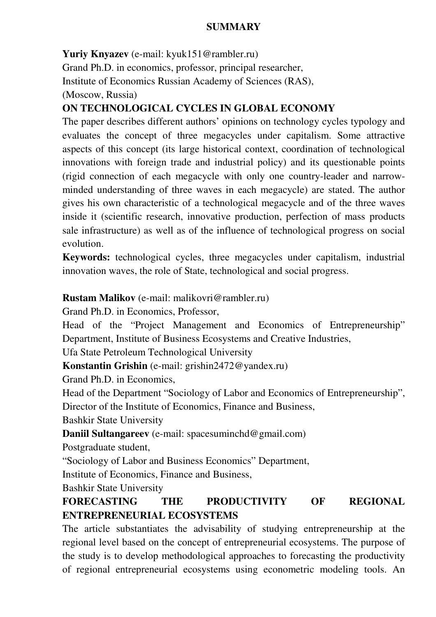#### **SUMMARY**

**Yuriy Knyazev** (e-mail: kyuk151@rambler.ru)

Grand Ph.D. in economics, professor, principal researcher,

Institute of Economics Russian Academy of Sciences (RAS),

(Moscow, Russia)

### **ON TECHNOLOGICAL CYCLES IN GLOBAL ECONOMY**

The paper describes different authors' opinions on technology cycles typology and evaluates the concept of three megacycles under capitalism. Some attractive aspects of this concept (its large historical context, coordination of technological innovations with foreign trade and industrial policy) and its questionable points (rigid connection of each megacycle with only one country-leader and narrowminded understanding of three waves in each megacycle) are stated. The author gives his own characteristic of a technological megacycle and of the three waves inside it (scientific research, innovative production, perfection of mass products sale infrastructure) as well as of the influence of technological progress on social evolution.

**Keywords:** technological cycles, three megacycles under capitalism, industrial innovation waves, the role of State, technological and social progress.

#### **Rustam Malikov** (e-mail: malikovri@rambler.ru)

Grand Ph.D. in Economics, Professor,

Head of the "Project Management and Economics of Entrepreneurship" Department, Institute of Business Ecosystems and Creative Industries,

Ufa State Petroleum Technological University

**Konstantin Grishin** (e-mail: grishin2472@yandex.ru)

Grand Ph.D. in Economics,

Head of the Department "Sociology of Labor and Economics of Entrepreneurship",

Director of the Institute of Economics, Finance and Business,

Bashkir State University

**Daniil Sultangareev** (e-mail: spacesuminchd@gmail.com)

Postgraduate student,

"Sociology of Labor and Business Economics" Department,

Institute of Economics, Finance and Business,

Bashkir State University

## **FORECASTING THE PRODUCTIVITY OF REGIONAL ENTREPRENEURIAL ECOSYSTEMS**

The article substantiates the advisability of studying entrepreneurship at the regional level based on the concept of entrepreneurial ecosystems. The purpose of the study is to develop methodological approaches to forecasting the productivity of regional entrepreneurial ecosystems using econometric modeling tools. An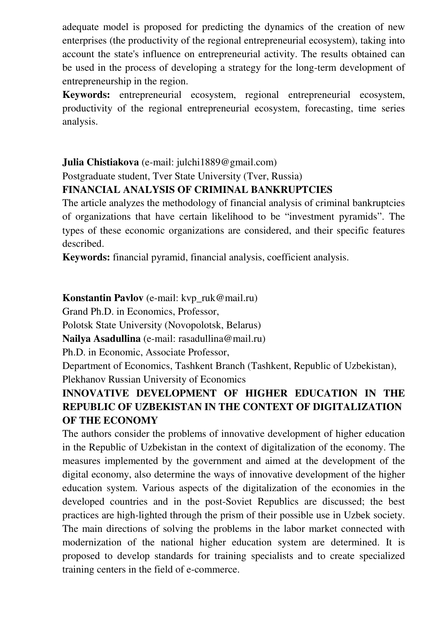adequate model is proposed for predicting the dynamics of the creation of new enterprises (the productivity of the regional entrepreneurial ecosystem), taking into account the state's influence on entrepreneurial activity. The results obtained can be used in the process of developing a strategy for the long-term development of entrepreneurship in the region.

**Keywords:** entrepreneurial ecosystem, regional entrepreneurial ecosystem, productivity of the regional entrepreneurial ecosystem, forecasting, time series analysis.

### **Julia Chistiakova** (e-mail: julchi1889@gmail.com)

Postgraduate student, Tver State University (Tver, Russia)

#### **FINANCIAL ANALYSIS OF CRIMINAL BANKRUPTCIES**

The article analyzes the methodology of financial analysis of criminal bankruptcies of organizations that have certain likelihood to be "investment pyramids". The types of these economic organizations are considered, and their specific features described.

**Keywords:** financial pyramid, financial analysis, coefficient analysis.

**Konstantin Pavlov** (e-mail: kvp\_ruk@mail.ru)

Grand Ph.D. in Economics, Professor,

Polotsk State University (Novopolotsk, Belarus)

**Nailya Asadullina** (e-mail: rasadullina@mail.ru)

Ph.D. in Economic, Associate Professor,

Department of Economics, Tashkent Branch (Tashkent, Republic of Uzbekistan), Plekhanov Russian University of Economics

# **INNOVATIVE DEVELOPMENT OF HIGHER EDUCATION IN THE REPUBLIC OF UZBEKISTAN IN THE CONTEXT OF DIGITALIZATION OF THE ECONOMY**

The authors consider the problems of innovative development of higher education in the Republic of Uzbekistan in the context of digitalization of the economy. The measures implemented by the government and aimed at the development of the digital economy, also determine the ways of innovative development of the higher education system. Various aspects of the digitalization of the economies in the developed countries and in the post-Soviet Republics are discussed; the best practices are high-lighted through the prism of their possible use in Uzbek society. The main directions of solving the problems in the labor market connected with modernization of the national higher education system are determined. It is proposed to develop standards for training specialists and to create specialized training centers in the field of e-commerce.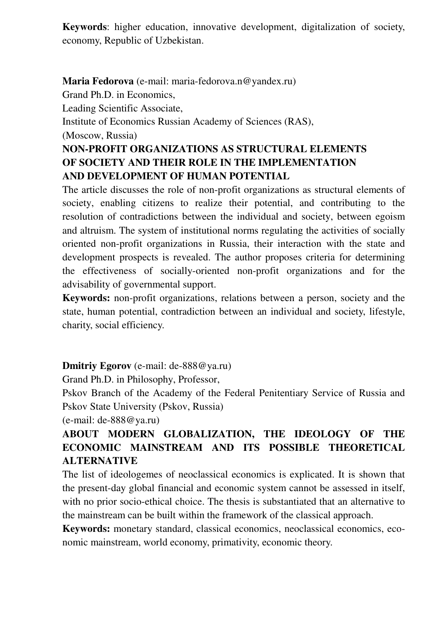**Keywords**: higher education, innovative development, digitalization of society, economy, Republic of Uzbekistan.

**Maria Fedorova** (e-mail: maria-fedorova.n@yandex.ru) Grand Ph.D. in Economics, Leading Scientific Associate, Institute of Economics Russian Academy of Sciences (RAS), (Moscow, Russia) **NON-PROFIT ORGANIZATIONS AS STRUCTURAL ELEMENTS OF SOCIETY AND THEIR ROLE IN THE IMPLEMENTATION AND DEVELOPMENT OF HUMAN POTENTIAL**

The article discusses the role of non-profit organizations as structural elements of society, enabling citizens to realize their potential, and contributing to the resolution of contradictions between the individual and society, between egoism and altruism. The system of institutional norms regulating the activities of socially oriented non-profit organizations in Russia, their interaction with the state and development prospects is revealed. The author proposes criteria for determining the effectiveness of socially-oriented non-profit organizations and for the advisability of governmental support.

**Keywords:** non-profit organizations, relations between a person, society and the state, human potential, contradiction between an individual and society, lifestyle, charity, social efficiency.

**Dmitriy Egorov** (e-mail: de-888@ya.ru)

Grand Ph.D. in Philosophy, Professor,

Pskov Branch of the Academy of the Federal Penitentiary Service of Russia and Pskov State University (Pskov, Russia)

(e-mail: de-888@ya.ru)

## **ABOUT MODERN GLOBALIZATION, THE IDEOLOGY OF THE ECONOMIC MAINSTREAM AND ITS POSSIBLE THEORETICAL ALTERNATIVE**

The list of ideologemes of neoclassical economics is explicated. It is shown that the present-day global financial and economic system cannot be assessed in itself, with no prior socio-ethical choice. The thesis is substantiated that an alternative to the mainstream can be built within the framework of the classical approach.

**Keywords:** monetary standard, classical economics, neoclassical economics, economic mainstream, world economy, primativity, economic theory.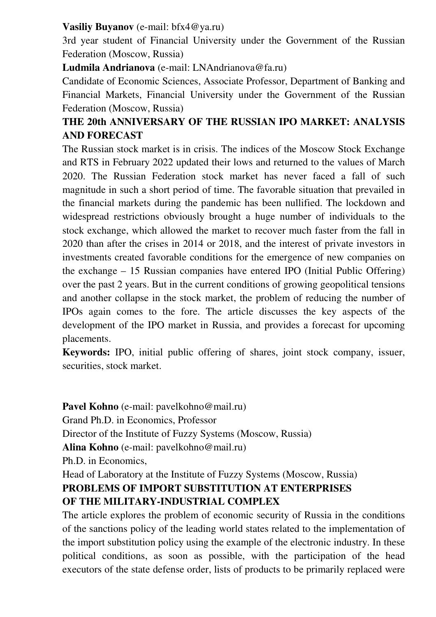#### **Vasiliy Buyanov** (e-mail: bfx4@ya.ru)

3rd year student of Financial University under the Government of the Russian Federation (Moscow, Russia)

**Ludmila Andrianova** (e-mail: LNAndrianova@fa.ru)

Candidate of Economic Sciences, Associate Professor, Department of Banking and Financial Markets, Financial University under the Government of the Russian Federation (Moscow, Russia)

### **THE 20th ANNIVERSARY OF THE RUSSIAN IPO MARKET: ANALYSIS AND FORECAST**

The Russian stock market is in crisis. The indices of the Moscow Stock Exchange and RTS in February 2022 updated their lows and returned to the values of March 2020. The Russian Federation stock market has never faced a fall of such magnitude in such a short period of time. The favorable situation that prevailed in the financial markets during the pandemic has been nullified. The lockdown and widespread restrictions obviously brought a huge number of individuals to the stock exchange, which allowed the market to recover much faster from the fall in 2020 than after the crises in 2014 or 2018, and the interest of private investors in investments created favorable conditions for the emergence of new companies on the exchange – 15 Russian companies have entered IPO (Initial Public Offering) over the past 2 years. But in the current conditions of growing geopolitical tensions and another collapse in the stock market, the problem of reducing the number of IPOs again comes to the fore. The article discusses the key aspects of the development of the IPO market in Russia, and provides a forecast for upcoming placements.

**Keywords:** IPO, initial public offering of shares, joint stock company, issuer, securities, stock market.

Pavel Kohno (e-mail: pavelkohno@mail.ru) Grand Ph.D. in Economics, Professor Director of the Institute of Fuzzy Systems (Moscow, Russia) **Alina Kohno** (e-mail: pavelkohno@mail.ru) Ph.D. in Economics, Head of Laboratory at the Institute of Fuzzy Systems (Moscow, Russia) **PROBLEMS OF IMPORT SUBSTITUTION AT ENTERPRISES OF THE MILITARY-INDUSTRIAL COMPLEX**

# The article explores the problem of economic security of Russia in the conditions of the sanctions policy of the leading world states related to the implementation of the import substitution policy using the example of the electronic industry. In these political conditions, as soon as possible, with the participation of the head executors of the state defense order, lists of products to be primarily replaced were